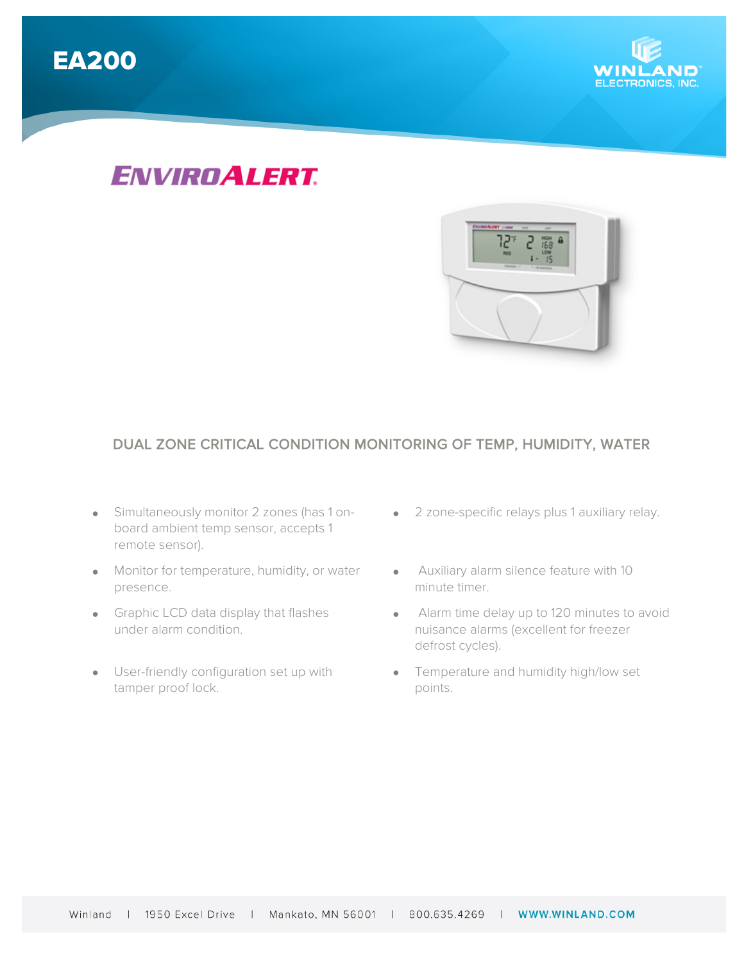

# *ENVIROALERT.*



### DUAL ZONE CRITICAL CONDITION MONITORING OF TEMP, HUMIDITY, WATER

- Simultaneously monitor 2 zones (has 1 onboard ambient temp sensor, accepts 1 remote sensor).
- Monitor for temperature, humidity, or water presence.
- Graphic LCD data display that flashes under alarm condition.
- User-friendly configuration set up with tamper proof lock.
- 2 zone-specific relays plus 1 auxiliary relay.
- Auxiliary alarm silence feature with 10 minute timer.
- Alarm time delay up to 120 minutes to avoid nuisance alarms (excellent for freezer defrost cycles).
- Temperature and humidity high/low set points.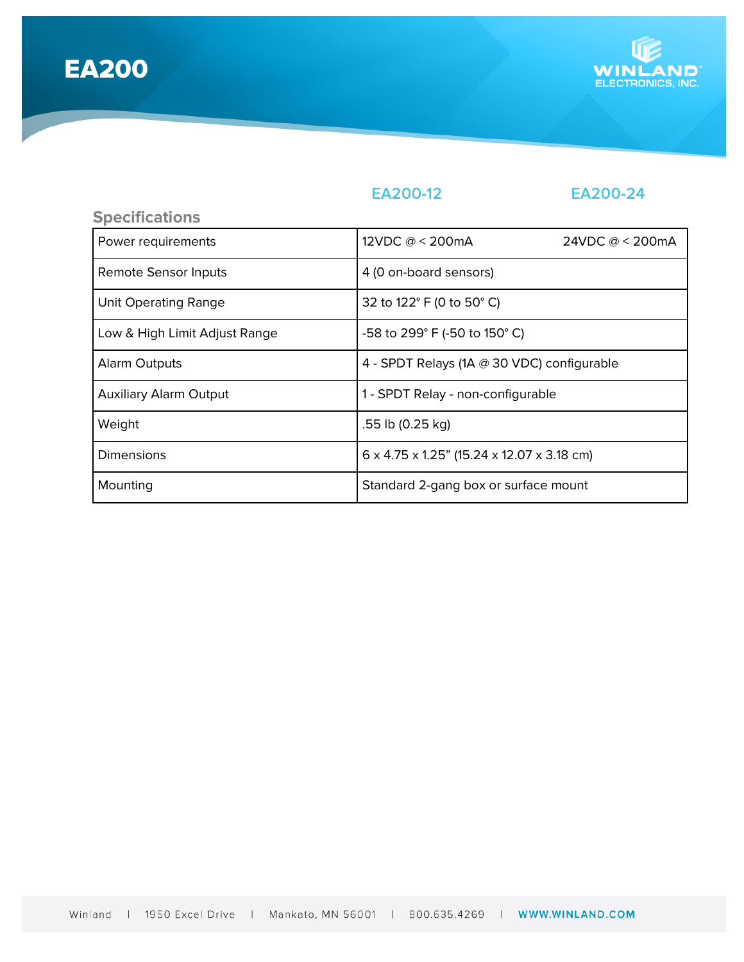EA200



## EA200-12 EA200-24

| <b>Specifications</b>         |                                                         |                           |
|-------------------------------|---------------------------------------------------------|---------------------------|
| Power requirements            | 12VDC $@ < 200$ mA                                      | 24VDC $@ < 200 \text{mA}$ |
| Remote Sensor Inputs          | 4 (0 on-board sensors)                                  |                           |
| <b>Unit Operating Range</b>   | 32 to 122° F (0 to 50° C)                               |                           |
| Low & High Limit Adjust Range | -58 to 299° F (-50 to 150° C)                           |                           |
| Alarm Outputs                 | 4 - SPDT Relays (1A @ 30 VDC) configurable              |                           |
| <b>Auxiliary Alarm Output</b> | 1 - SPDT Relay - non-configurable                       |                           |
| Weight                        | .55 lb (0.25 kg)                                        |                           |
| Dimensions                    | $6 \times 4.75 \times 1.25$ " (15.24 x 12.07 x 3.18 cm) |                           |
| Mounting                      | Standard 2-gang box or surface mount                    |                           |